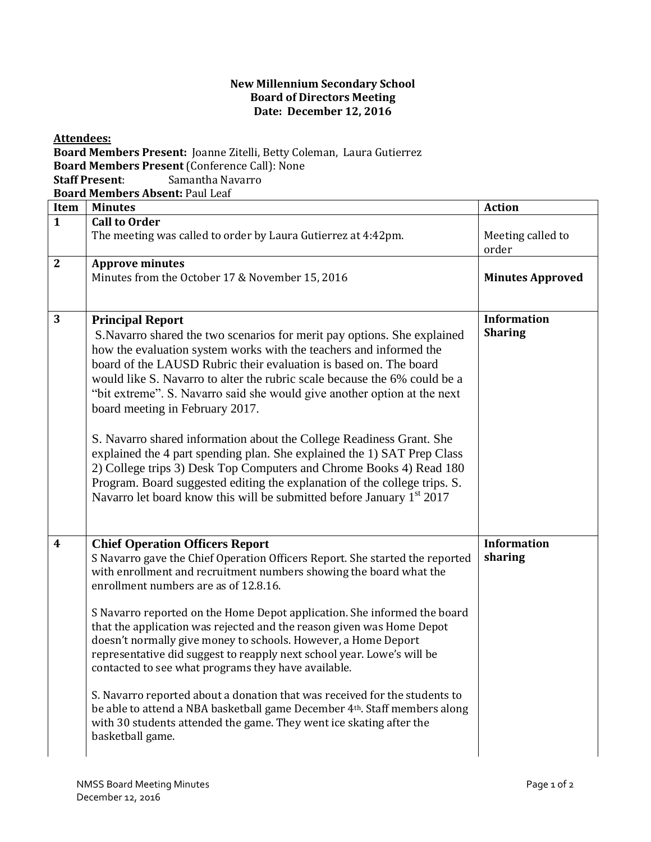## **New Millennium Secondary School Board of Directors Meeting Date: December 12, 2016**

**Attendees: Board Members Present:** Joanne Zitelli, Betty Coleman, Laura Gutierrez **Board Members Present** (Conference Call): None **Staff Present**: Samantha Navarro **Board Members Absent:** Paul Leaf **Item Minutes Action 1 Call to Order** The meeting was called to order by Laura Gutierrez at  $4:42$  pm. order **2 Approve minutes**  Minutes from the October 17 & November 15, 2016 **Minutes Approved 3 Principal Report** S.Navarro shared the two scenarios for merit pay options. She explained how the evaluation system works with the teachers and informed the board of the LAUSD Rubric their evaluation is based on. The board would like S. Navarro to alter the rubric scale because the 6% could be a "bit extreme". S. Navarro said she would give another option at the next board meeting in February 2017. S. Navarro shared information about the College Readiness Grant. She explained the 4 part spending plan. She explained the 1) SAT Prep Class 2) College trips 3) Desk Top Computers and Chrome Books 4) Read 180 Program. Board suggested editing the explanation of the college trips. S. Navarro let board know this will be submitted before January  $1<sup>st</sup> 2017$ **Information Sharing 4 Chief Operation Officers Report** S Navarro gave the Chief Operation Officers Report. She started the reported with enrollment and recruitment numbers showing the board what the enrollment numbers are as of 12.8.16. S Navarro reported on the Home Depot application. She informed the board that the application was rejected and the reason given was Home Depot doesn't normally give money to schools. However, a Home Deport representative did suggest to reapply next school year. Lowe's will be contacted to see what programs they have available. S. Navarro reported about a donation that was received for the students to be able to attend a NBA basketball game December 4th. Staff members along with 30 students attended the game. They went ice skating after the basketball game. **Information sharing**